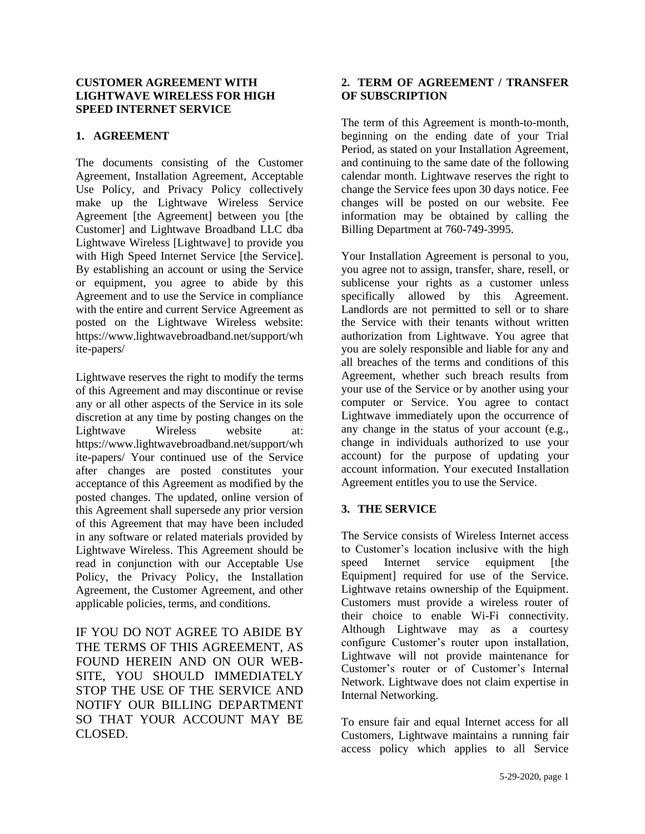#### **CUSTOMER AGREEMENT WITH LIGHTWAVE WIRELESS FOR HIGH SPEED INTERNET SERVICE**

# **1. AGREEMENT**

The documents consisting of the Customer Agreement, Installation Agreement, Acceptable Use Policy, and Privacy Policy collectively make up the Lightwave Wireless Service Agreement [the Agreement] between you [the Customer] and Lightwave Broadband LLC dba Lightwave Wireless [Lightwave] to provide you with High Speed Internet Service [the Service]. By establishing an account or using the Service or equipment, you agree to abide by this Agreement and to use the Service in compliance with the entire and current Service Agreement as posted on the Lightwave Wireless website: https://www.lightwavebroadband.net/support/wh ite-papers/

Lightwave reserves the right to modify the terms of this Agreement and may discontinue or revise any or all other aspects of the Service in its sole discretion at any time by posting changes on the Lightwave Wireless website at: https://www.lightwavebroadband.net/support/wh ite-papers/ Your continued use of the Service after changes are posted constitutes your acceptance of this Agreement as modified by the posted changes. The updated, online version of this Agreement shall supersede any prior version of this Agreement that may have been included in any software or related materials provided by Lightwave Wireless. This Agreement should be read in conjunction with our Acceptable Use Policy, the Privacy Policy, the Installation Agreement, the Customer Agreement, and other applicable policies, terms, and conditions.

IF YOU DO NOT AGREE TO ABIDE BY THE TERMS OF THIS AGREEMENT, AS FOUND HEREIN AND ON OUR WEB-SITE, YOU SHOULD IMMEDIATELY STOP THE USE OF THE SERVICE AND NOTIFY OUR BILLING DEPARTMENT SO THAT YOUR ACCOUNT MAY BE CLOSED.

#### **2. TERM OF AGREEMENT / TRANSFER OF SUBSCRIPTION**

The term of this Agreement is month-to-month, beginning on the ending date of your Trial Period, as stated on your Installation Agreement, and continuing to the same date of the following calendar month. Lightwave reserves the right to change the Service fees upon 30 days notice. Fee changes will be posted on our website. Fee information may be obtained by calling the Billing Department at 760-749-3995.

Your Installation Agreement is personal to you, you agree not to assign, transfer, share, resell, or sublicense your rights as a customer unless specifically allowed by this Agreement. Landlords are not permitted to sell or to share the Service with their tenants without written authorization from Lightwave. You agree that you are solely responsible and liable for any and all breaches of the terms and conditions of this Agreement, whether such breach results from your use of the Service or by another using your computer or Service. You agree to contact Lightwave immediately upon the occurrence of any change in the status of your account (e.g., change in individuals authorized to use your account) for the purpose of updating your account information. Your executed Installation Agreement entitles you to use the Service.

# **3. THE SERVICE**

The Service consists of Wireless Internet access to Customer's location inclusive with the high speed Internet service equipment [the Equipment] required for use of the Service. Lightwave retains ownership of the Equipment. Customers must provide a wireless router of their choice to enable Wi-Fi connectivity. Although Lightwave may as a courtesy configure Customer's router upon installation, Lightwave will not provide maintenance for Customer's router or of Customer's Internal Network. Lightwave does not claim expertise in Internal Networking.

To ensure fair and equal Internet access for all Customers, Lightwave maintains a running fair access policy which applies to all Service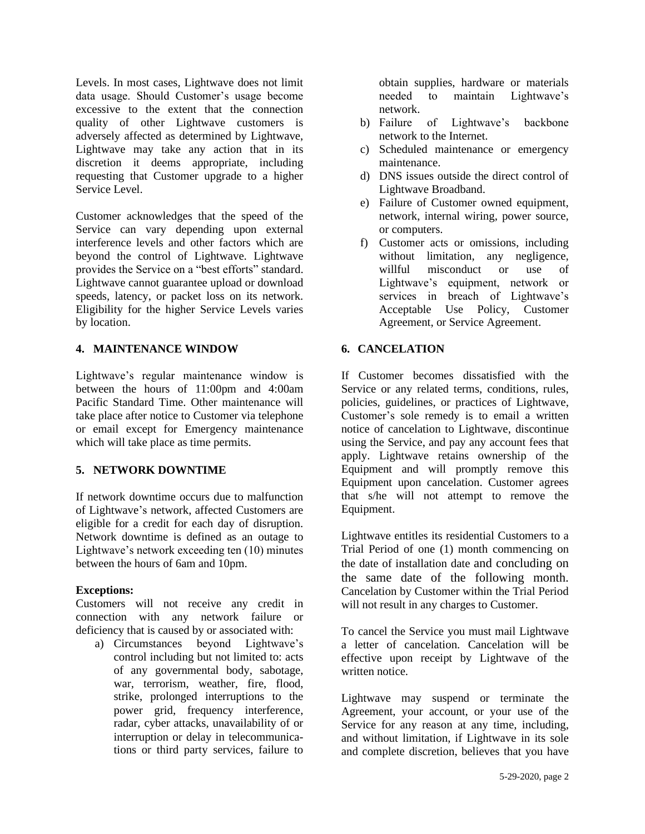Levels. In most cases, Lightwave does not limit data usage. Should Customer's usage become excessive to the extent that the connection quality of other Lightwave customers is adversely affected as determined by Lightwave, Lightwave may take any action that in its discretion it deems appropriate, including requesting that Customer upgrade to a higher Service Level.

Customer acknowledges that the speed of the Service can vary depending upon external interference levels and other factors which are beyond the control of Lightwave. Lightwave provides the Service on a "best efforts" standard. Lightwave cannot guarantee upload or download speeds, latency, or packet loss on its network. Eligibility for the higher Service Levels varies by location.

#### **4. MAINTENANCE WINDOW**

Lightwave's regular maintenance window is between the hours of 11:00pm and 4:00am Pacific Standard Time. Other maintenance will take place after notice to Customer via telephone or email except for Emergency maintenance which will take place as time permits.

# **5. NETWORK DOWNTIME**

If network downtime occurs due to malfunction of Lightwave's network, affected Customers are eligible for a credit for each day of disruption. Network downtime is defined as an outage to Lightwave's network exceeding ten (10) minutes between the hours of 6am and 10pm.

#### **Exceptions:**

Customers will not receive any credit in connection with any network failure or deficiency that is caused by or associated with:

a) Circumstances beyond Lightwave's control including but not limited to: acts of any governmental body, sabotage, war, terrorism, weather, fire, flood, strike, prolonged interruptions to the power grid, frequency interference, radar, cyber attacks, unavailability of or interruption or delay in telecommunications or third party services, failure to

obtain supplies, hardware or materials needed to maintain Lightwave's network.

- b) Failure of Lightwave's backbone network to the Internet.
- c) Scheduled maintenance or emergency maintenance.
- d) DNS issues outside the direct control of Lightwave Broadband.
- e) Failure of Customer owned equipment, network, internal wiring, power source, or computers.
- f) Customer acts or omissions, including without limitation, any negligence, willful misconduct or use of Lightwave's equipment, network or services in breach of Lightwave's Acceptable Use Policy, Customer Agreement, or Service Agreement.

# **6. CANCELATION**

If Customer becomes dissatisfied with the Service or any related terms, conditions, rules, policies, guidelines, or practices of Lightwave, Customer's sole remedy is to email a written notice of cancelation to Lightwave, discontinue using the Service, and pay any account fees that apply. Lightwave retains ownership of the Equipment and will promptly remove this Equipment upon cancelation. Customer agrees that s/he will not attempt to remove the Equipment.

Lightwave entitles its residential Customers to a Trial Period of one (1) month commencing on the date of installation date and concluding on the same date of the following month. Cancelation by Customer within the Trial Period will not result in any charges to Customer.

To cancel the Service you must mail Lightwave a letter of cancelation. Cancelation will be effective upon receipt by Lightwave of the written notice.

Lightwave may suspend or terminate the Agreement, your account, or your use of the Service for any reason at any time, including, and without limitation, if Lightwave in its sole and complete discretion, believes that you have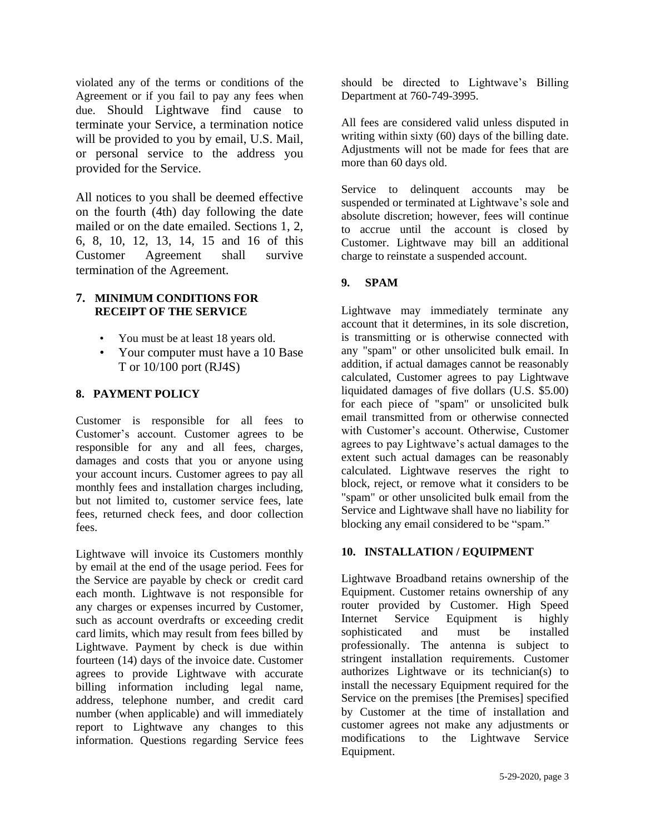violated any of the terms or conditions of the Agreement or if you fail to pay any fees when due. Should Lightwave find cause to terminate your Service, a termination notice will be provided to you by email, U.S. Mail, or personal service to the address you provided for the Service.

All notices to you shall be deemed effective on the fourth (4th) day following the date mailed or on the date emailed. Sections 1, 2, 6, 8, 10, 12, 13, 14, 15 and 16 of this Customer Agreement shall survive termination of the Agreement.

#### **7. MINIMUM CONDITIONS FOR RECEIPT OF THE SERVICE**

- You must be at least 18 years old.
- Your computer must have a 10 Base T or 10/100 port (RJ4S)

# **8. PAYMENT POLICY**

Customer is responsible for all fees to Customer's account. Customer agrees to be responsible for any and all fees, charges, damages and costs that you or anyone using your account incurs. Customer agrees to pay all monthly fees and installation charges including, but not limited to, customer service fees, late fees, returned check fees, and door collection fees.

Lightwave will invoice its Customers monthly by email at the end of the usage period. Fees for the Service are payable by check or credit card each month. Lightwave is not responsible for any charges or expenses incurred by Customer, such as account overdrafts or exceeding credit card limits, which may result from fees billed by Lightwave. Payment by check is due within fourteen (14) days of the invoice date. Customer agrees to provide Lightwave with accurate billing information including legal name, address, telephone number, and credit card number (when applicable) and will immediately report to Lightwave any changes to this information. Questions regarding Service fees

should be directed to Lightwave's Billing Department at 760-749-3995.

All fees are considered valid unless disputed in writing within sixty (60) days of the billing date. Adjustments will not be made for fees that are more than 60 days old.

Service to delinquent accounts may be suspended or terminated at Lightwave's sole and absolute discretion; however, fees will continue to accrue until the account is closed by Customer. Lightwave may bill an additional charge to reinstate a suspended account.

# **9.****SPAM**

Lightwave may immediately terminate any account that it determines, in its sole discretion, is transmitting or is otherwise connected with any "spam" or other unsolicited bulk email. In addition, if actual damages cannot be reasonably calculated, Customer agrees to pay Lightwave liquidated damages of five dollars (U.S. \$5.00) for each piece of "spam" or unsolicited bulk email transmitted from or otherwise connected with Customer's account. Otherwise, Customer agrees to pay Lightwave's actual damages to the extent such actual damages can be reasonably calculated. Lightwave reserves the right to block, reject, or remove what it considers to be "spam" or other unsolicited bulk email from the Service and Lightwave shall have no liability for blocking any email considered to be "spam."

# **10. INSTALLATION / EQUIPMENT**

Lightwave Broadband retains ownership of the Equipment. Customer retains ownership of any router provided by Customer. High Speed Internet Service Equipment is highly sophisticated and must be installed professionally. The antenna is subject to stringent installation requirements. Customer authorizes Lightwave or its technician(s) to install the necessary Equipment required for the Service on the premises [the Premises] specified by Customer at the time of installation and customer agrees not make any adjustments or modifications to the Lightwave Service Equipment.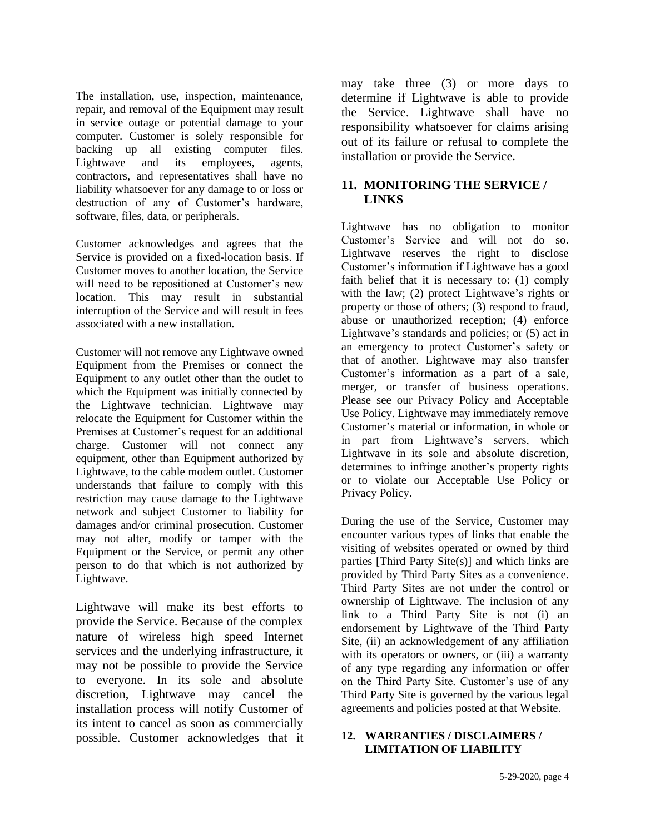The installation, use, inspection, maintenance, repair, and removal of the Equipment may result in service outage or potential damage to your computer. Customer is solely responsible for backing up all existing computer files. Lightwave and its employees, agents, contractors, and representatives shall have no liability whatsoever for any damage to or loss or destruction of any of Customer's hardware, software, files, data, or peripherals.

Customer acknowledges and agrees that the Service is provided on a fixed-location basis. If Customer moves to another location, the Service will need to be repositioned at Customer's new location. This may result in substantial interruption of the Service and will result in fees associated with a new installation.

Customer will not remove any Lightwave owned Equipment from the Premises or connect the Equipment to any outlet other than the outlet to which the Equipment was initially connected by the Lightwave technician. Lightwave may relocate the Equipment for Customer within the Premises at Customer's request for an additional charge. Customer will not connect any equipment, other than Equipment authorized by Lightwave, to the cable modem outlet. Customer understands that failure to comply with this restriction may cause damage to the Lightwave network and subject Customer to liability for damages and/or criminal prosecution. Customer may not alter, modify or tamper with the Equipment or the Service, or permit any other person to do that which is not authorized by Lightwave.

Lightwave will make its best efforts to provide the Service. Because of the complex nature of wireless high speed Internet services and the underlying infrastructure, it may not be possible to provide the Service to everyone. In its sole and absolute discretion, Lightwave may cancel the installation process will notify Customer of its intent to cancel as soon as commercially possible. Customer acknowledges that it may take three (3) or more days to determine if Lightwave is able to provide the Service. Lightwave shall have no responsibility whatsoever for claims arising out of its failure or refusal to complete the installation or provide the Service.

# **11. MONITORING THE SERVICE / LINKS**

Lightwave has no obligation to monitor Customer's Service and will not do so. Lightwave reserves the right to disclose Customer's information if Lightwave has a good faith belief that it is necessary to: (1) comply with the law; (2) protect Lightwave's rights or property or those of others; (3) respond to fraud, abuse or unauthorized reception; (4) enforce Lightwave's standards and policies; or (5) act in an emergency to protect Customer's safety or that of another. Lightwave may also transfer Customer's information as a part of a sale, merger, or transfer of business operations. Please see our Privacy Policy and Acceptable Use Policy. Lightwave may immediately remove Customer's material or information, in whole or in part from Lightwave's servers, which Lightwave in its sole and absolute discretion, determines to infringe another's property rights or to violate our Acceptable Use Policy or Privacy Policy.

During the use of the Service, Customer may encounter various types of links that enable the visiting of websites operated or owned by third parties [Third Party Site(s)] and which links are provided by Third Party Sites as a convenience. Third Party Sites are not under the control or ownership of Lightwave. The inclusion of any link to a Third Party Site is not (i) an endorsement by Lightwave of the Third Party Site, (ii) an acknowledgement of any affiliation with its operators or owners, or (iii) a warranty of any type regarding any information or offer on the Third Party Site. Customer's use of any Third Party Site is governed by the various legal agreements and policies posted at that Website.

#### **12. WARRANTIES / DISCLAIMERS / LIMITATION OF LIABILITY**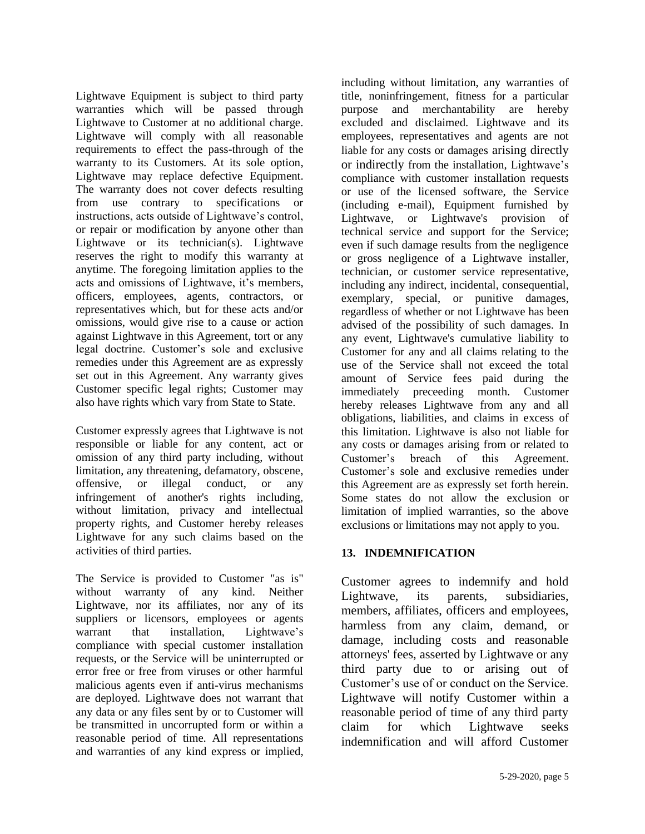Lightwave Equipment is subject to third party warranties which will be passed through Lightwave to Customer at no additional charge. Lightwave will comply with all reasonable requirements to effect the pass-through of the warranty to its Customers. At its sole option, Lightwave may replace defective Equipment. The warranty does not cover defects resulting from use contrary to specifications or instructions, acts outside of Lightwave's control, or repair or modification by anyone other than Lightwave or its technician(s). Lightwave reserves the right to modify this warranty at anytime. The foregoing limitation applies to the acts and omissions of Lightwave, it's members, officers, employees, agents, contractors, or representatives which, but for these acts and/or omissions, would give rise to a cause or action against Lightwave in this Agreement, tort or any legal doctrine. Customer's sole and exclusive remedies under this Agreement are as expressly set out in this Agreement. Any warranty gives Customer specific legal rights; Customer may also have rights which vary from State to State.

Customer expressly agrees that Lightwave is not responsible or liable for any content, act or omission of any third party including, without limitation, any threatening, defamatory, obscene, offensive, or illegal conduct, or any infringement of another's rights including, without limitation, privacy and intellectual property rights, and Customer hereby releases Lightwave for any such claims based on the activities of third parties.

The Service is provided to Customer "as is" without warranty of any kind. Neither Lightwave, nor its affiliates, nor any of its suppliers or licensors, employees or agents warrant that installation, Lightwave's compliance with special customer installation requests, or the Service will be uninterrupted or error free or free from viruses or other harmful malicious agents even if anti-virus mechanisms are deployed. Lightwave does not warrant that any data or any files sent by or to Customer will be transmitted in uncorrupted form or within a reasonable period of time. All representations and warranties of any kind express or implied,

including without limitation, any warranties of title, noninfringement, fitness for a particular purpose and merchantability are hereby excluded and disclaimed. Lightwave and its employees, representatives and agents are not liable for any costs or damages arising directly or indirectly from the installation, Lightwave's compliance with customer installation requests or use of the licensed software, the Service (including e-mail), Equipment furnished by Lightwave, or Lightwave's provision of technical service and support for the Service; even if such damage results from the negligence or gross negligence of a Lightwave installer, technician, or customer service representative, including any indirect, incidental, consequential, exemplary, special, or punitive damages, regardless of whether or not Lightwave has been advised of the possibility of such damages. In any event, Lightwave's cumulative liability to Customer for any and all claims relating to the use of the Service shall not exceed the total amount of Service fees paid during the immediately preceeding month. Customer hereby releases Lightwave from any and all obligations, liabilities, and claims in excess of this limitation. Lightwave is also not liable for any costs or damages arising from or related to Customer's breach of this Agreement. Customer's sole and exclusive remedies under this Agreement are as expressly set forth herein. Some states do not allow the exclusion or limitation of implied warranties, so the above exclusions or limitations may not apply to you.

# **13. INDEMNIFICATION**

Customer agrees to indemnify and hold Lightwave, its parents, subsidiaries, members, affiliates, officers and employees, harmless from any claim, demand, or damage, including costs and reasonable attorneys' fees, asserted by Lightwave or any third party due to or arising out of Customer's use of or conduct on the Service. Lightwave will notify Customer within a reasonable period of time of any third party claim for which Lightwave seeks indemnification and will afford Customer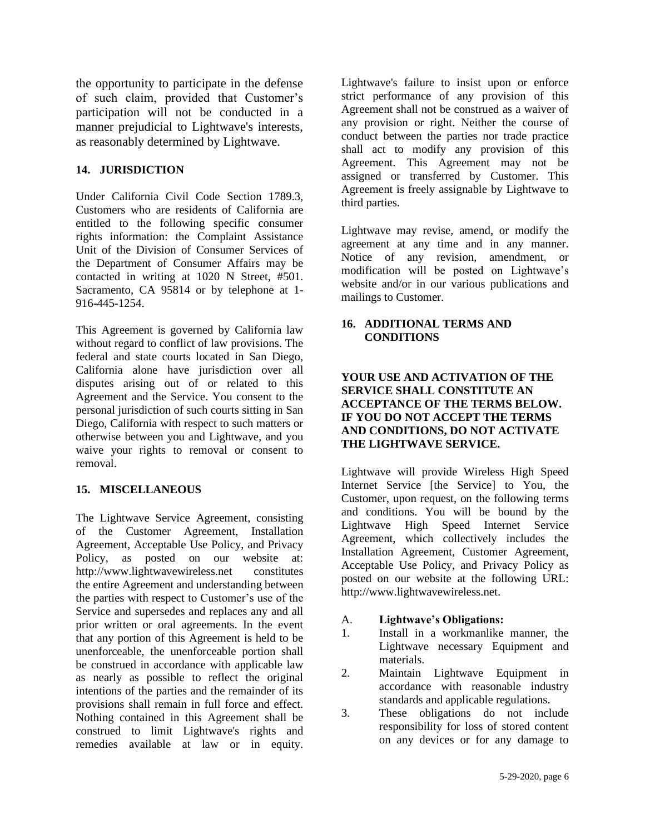the opportunity to participate in the defense of such claim, provided that Customer's participation will not be conducted in a manner prejudicial to Lightwave's interests, as reasonably determined by Lightwave.

#### **14. JURISDICTION**

Under California Civil Code Section 1789.3, Customers who are residents of California are entitled to the following specific consumer rights information: the Complaint Assistance Unit of the Division of Consumer Services of the Department of Consumer Affairs may be contacted in writing at 1020 N Street, #501. Sacramento, CA 95814 or by telephone at 1- 916-445-1254.

This Agreement is governed by California law without regard to conflict of law provisions. The federal and state courts located in San Diego, California alone have jurisdiction over all disputes arising out of or related to this Agreement and the Service. You consent to the personal jurisdiction of such courts sitting in San Diego, California with respect to such matters or otherwise between you and Lightwave, and you waive your rights to removal or consent to removal.

# **15. MISCELLANEOUS**

The Lightwave Service Agreement, consisting of the Customer Agreement, Installation Agreement, Acceptable Use Policy, and Privacy Policy, as posted on our website at: http://www.lightwavewireless.net constitutes the entire Agreement and understanding between the parties with respect to Customer's use of the Service and supersedes and replaces any and all prior written or oral agreements. In the event that any portion of this Agreement is held to be unenforceable, the unenforceable portion shall be construed in accordance with applicable law as nearly as possible to reflect the original intentions of the parties and the remainder of its provisions shall remain in full force and effect. Nothing contained in this Agreement shall be construed to limit Lightwave's rights and remedies available at law or in equity.

Lightwave's failure to insist upon or enforce strict performance of any provision of this Agreement shall not be construed as a waiver of any provision or right. Neither the course of conduct between the parties nor trade practice shall act to modify any provision of this Agreement. This Agreement may not be assigned or transferred by Customer. This Agreement is freely assignable by Lightwave to third parties.

Lightwave may revise, amend, or modify the agreement at any time and in any manner. Notice of any revision, amendment, or modification will be posted on Lightwave's website and/or in our various publications and mailings to Customer.

#### **16. ADDITIONAL TERMS AND CONDITIONS**

#### **YOUR USE AND ACTIVATION OF THE SERVICE SHALL CONSTITUTE AN ACCEPTANCE OF THE TERMS BELOW. IF YOU DO NOT ACCEPT THE TERMS AND CONDITIONS, DO NOT ACTIVATE THE LIGHTWAVE SERVICE.**

Lightwave will provide Wireless High Speed Internet Service [the Service] to You, the Customer, upon request, on the following terms and conditions. You will be bound by the Lightwave High Speed Internet Service Agreement, which collectively includes the Installation Agreement, Customer Agreement, Acceptable Use Policy, and Privacy Policy as posted on our website at the following URL: http://www.lightwavewireless.net.

#### A. **Lightwave's Obligations:**

- 1. Install in a workmanlike manner, the Lightwave necessary Equipment and materials.
- 2. Maintain Lightwave Equipment in accordance with reasonable industry standards and applicable regulations.
- 3. These obligations do not include responsibility for loss of stored content on any devices or for any damage to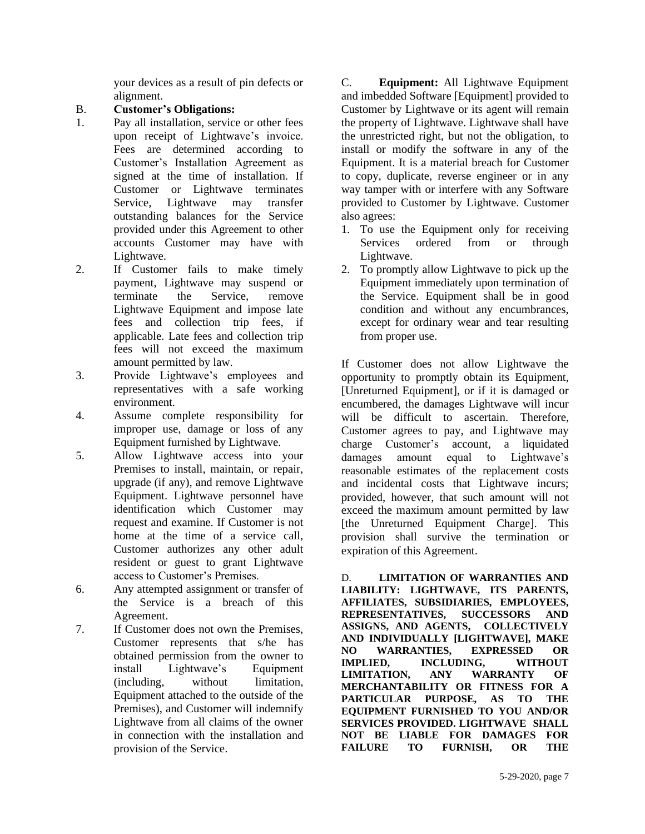your devices as a result of pin defects or alignment.

# B. **Customer's Obligations:**

- 1. Pay all installation, service or other fees upon receipt of Lightwave's invoice. Fees are determined according to Customer's Installation Agreement as signed at the time of installation. If Customer or Lightwave terminates Service, Lightwave may transfer outstanding balances for the Service provided under this Agreement to other accounts Customer may have with Lightwave.
- 2. If Customer fails to make timely payment, Lightwave may suspend or terminate the Service, remove Lightwave Equipment and impose late fees and collection trip fees, if applicable. Late fees and collection trip fees will not exceed the maximum amount permitted by law.
- 3. Provide Lightwave's employees and representatives with a safe working environment.
- 4. Assume complete responsibility for improper use, damage or loss of any Equipment furnished by Lightwave.
- 5. Allow Lightwave access into your Premises to install, maintain, or repair, upgrade (if any), and remove Lightwave Equipment. Lightwave personnel have identification which Customer may request and examine. If Customer is not home at the time of a service call, Customer authorizes any other adult resident or guest to grant Lightwave access to Customer's Premises.
- 6. Any attempted assignment or transfer of the Service is a breach of this Agreement.
- 7. If Customer does not own the Premises, Customer represents that s/he has obtained permission from the owner to install Lightwave's Equipment (including, without limitation, Equipment attached to the outside of the Premises), and Customer will indemnify Lightwave from all claims of the owner in connection with the installation and provision of the Service.

C. **Equipment:** All Lightwave Equipment and imbedded Software [Equipment] provided to Customer by Lightwave or its agent will remain the property of Lightwave. Lightwave shall have the unrestricted right, but not the obligation, to install or modify the software in any of the Equipment. It is a material breach for Customer to copy, duplicate, reverse engineer or in any way tamper with or interfere with any Software provided to Customer by Lightwave. Customer also agrees:

- 1. To use the Equipment only for receiving Services ordered from or through Lightwave.
- 2. To promptly allow Lightwave to pick up the Equipment immediately upon termination of the Service. Equipment shall be in good condition and without any encumbrances, except for ordinary wear and tear resulting from proper use.

If Customer does not allow Lightwave the opportunity to promptly obtain its Equipment, [Unreturned Equipment], or if it is damaged or encumbered, the damages Lightwave will incur will be difficult to ascertain. Therefore, Customer agrees to pay, and Lightwave may charge Customer's account, a liquidated damages amount equal to Lightwave's reasonable estimates of the replacement costs and incidental costs that Lightwave incurs; provided, however, that such amount will not exceed the maximum amount permitted by law [the Unreturned Equipment Charge]. This provision shall survive the termination or expiration of this Agreement.

D. **LIMITATION OF WARRANTIES AND LIABILITY: LIGHTWAVE, ITS PARENTS, AFFILIATES, SUBSIDIARIES, EMPLOYEES, REPRESENTATIVES, SUCCESSORS AND ASSIGNS, AND AGENTS, COLLECTIVELY AND INDIVIDUALLY [LIGHTWAVE], MAKE NO WARRANTIES, EXPRESSED OR IMPLIED, INCLUDING, WITHOUT LIMITATION, ANY WARRANTY OF MERCHANTABILITY OR FITNESS FOR A PARTICULAR PURPOSE, AS TO THE EQUIPMENT FURNISHED TO YOU AND/OR SERVICES PROVIDED. LIGHTWAVE SHALL NOT BE LIABLE FOR DAMAGES FOR FAILURE TO FURNISH, OR THE**